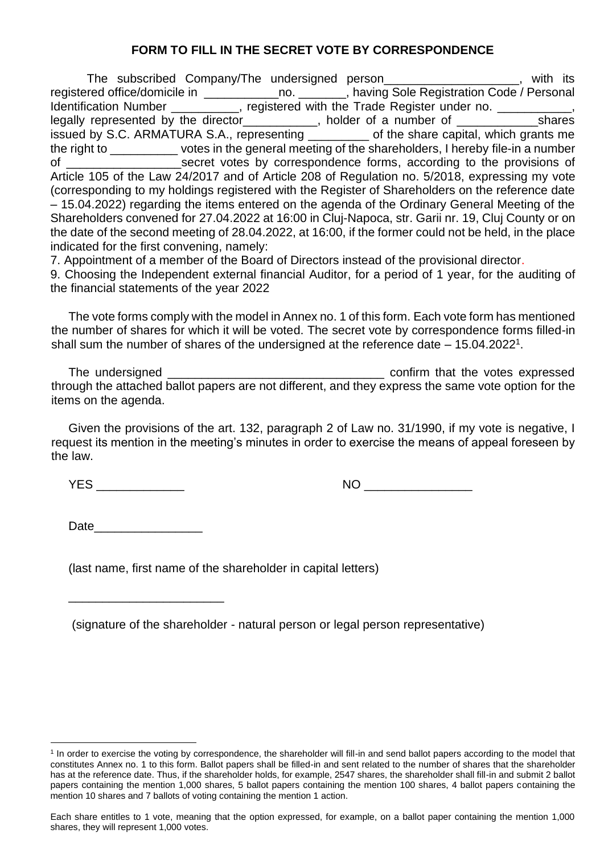## **FORM TO FILL IN THE SECRET VOTE BY CORRESPONDENCE**

The subscribed Company/The undersigned person\_\_\_\_\_\_\_\_\_\_\_\_\_\_\_\_\_\_\_\_, with its registered office/domicile in \_\_\_\_\_\_\_\_\_\_\_\_\_\_no. \_\_\_\_\_\_, having Sole Registration Code / Personal Identification Number \_\_\_\_\_\_\_\_\_, registered with the Trade Register under no. \_\_\_\_\_\_\_\_, legally represented by the director\_\_\_\_\_\_\_\_\_\_\_, holder of a number of \_\_\_\_\_\_\_\_\_\_\_\_\_\_shares issued by S.C. ARMATURA S.A., representing \_\_\_\_\_\_\_\_\_ of the share capital, which grants me the right to \_\_\_\_\_\_\_\_\_\_\_\_ votes in the general meeting of the shareholders, I hereby file-in a number of \_\_\_\_\_\_\_\_\_\_\_\_\_\_\_\_\_secret votes by correspondence forms, according to the provisions of Article 105 of the Law 24/2017 and of Article 208 of Regulation no. 5/2018, expressing my vote (corresponding to my holdings registered with the Register of Shareholders on the reference date – 15.04.2022) regarding the items entered on the agenda of the Ordinary General Meeting of the Shareholders convened for 27.04.2022 at 16:00 in Cluj-Napoca, str. Garii nr. 19, Cluj County or on the date of the second meeting of 28.04.2022, at 16:00, if the former could not be held, in the place indicated for the first convening, namely:

7. Appointment of a member of the Board of Directors instead of the provisional director.

9. Choosing the Independent external financial Auditor, for a period of 1 year, for the auditing of the financial statements of the year 2022

The vote forms comply with the model in Annex no. 1 of this form. Each vote form has mentioned the number of shares for which it will be voted. The secret vote by correspondence forms filled-in shall sum the number of shares of the undersigned at the reference date  $-15.04.2022<sup>1</sup>$ .

The undersigned \_\_\_\_\_\_\_\_\_\_\_\_\_\_\_\_\_\_\_\_\_\_\_\_\_\_\_\_\_\_\_\_ confirm that the votes expressed through the attached ballot papers are not different, and they express the same vote option for the items on the agenda.

Given the provisions of the art. 132, paragraph 2 of Law no. 31/1990, if my vote is negative, I request its mention in the meeting's minutes in order to exercise the means of appeal foreseen by the law.

YES \_\_\_\_\_\_\_\_\_\_\_\_\_ NO \_\_\_\_\_\_\_\_\_\_\_\_\_\_\_\_

Date

\_\_\_\_\_\_\_\_\_\_\_\_\_\_\_\_\_\_\_\_\_\_\_

(last name, first name of the shareholder in capital letters)

(signature of the shareholder - natural person or legal person representative)

<sup>&</sup>lt;sup>1</sup> In order to exercise the voting by correspondence, the shareholder will fill-in and send ballot papers according to the model that constitutes Annex no. 1 to this form. Ballot papers shall be filled-in and sent related to the number of shares that the shareholder has at the reference date. Thus, if the shareholder holds, for example, 2547 shares, the shareholder shall fill-in and submit 2 ballot papers containing the mention 1,000 shares, 5 ballot papers containing the mention 100 shares, 4 ballot papers containing the mention 10 shares and 7 ballots of voting containing the mention 1 action.

Each share entitles to 1 vote, meaning that the option expressed, for example, on a ballot paper containing the mention 1,000 shares, they will represent 1,000 votes.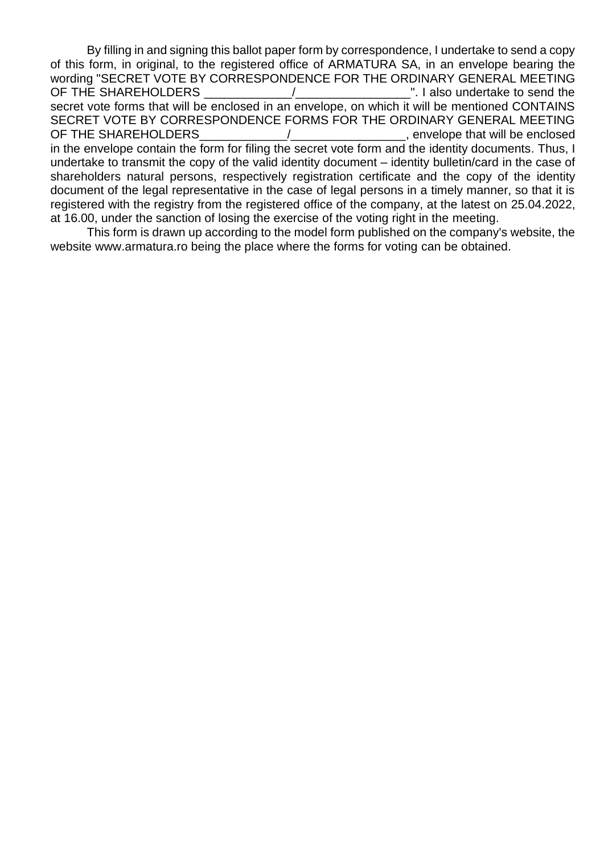By filling in and signing this ballot paper form by correspondence, I undertake to send a copy of this form, in original, to the registered office of ARMATURA SA, in an envelope bearing the wording "SECRET VOTE BY CORRESPONDENCE FOR THE ORDINARY GENERAL MEETING OF THE SHAREHOLDERS THE SHAREHOLDERS And The SHAREHOLDERS And The Send the Send the Send the Send the Send the secret vote forms that will be enclosed in an envelope, on which it will be mentioned CONTAINS SECRET VOTE BY CORRESPONDENCE FORMS FOR THE ORDINARY GENERAL MEETING OF THE SHAREHOLDERS THE SHAREHOLDERS And the state of the state of the state of the state of the state of the state of the state of the state of the state of the state of the state of the state of the state of the state of in the envelope contain the form for filing the secret vote form and the identity documents. Thus, I undertake to transmit the copy of the valid identity document – identity bulletin/card in the case of shareholders natural persons, respectively registration certificate and the copy of the identity

document of the legal representative in the case of legal persons in a timely manner, so that it is registered with the registry from the registered office of the company, at the latest on 25.04.2022, at 16.00, under the sanction of losing the exercise of the voting right in the meeting.

This form is drawn up according to the model form published on the company's website, the website www.armatura.ro being the place where the forms for voting can be obtained.